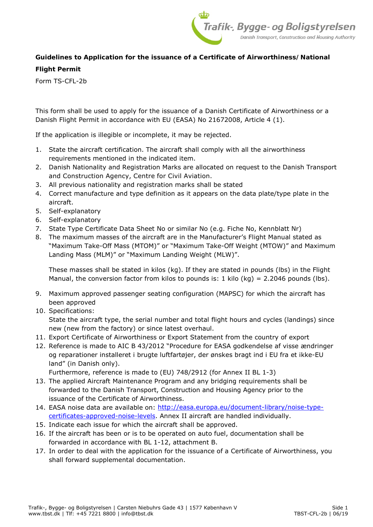

# **Guidelines to Application for the issuance of a Certificate of Airworthiness/National**

### **Flight Permit**

Form TS-CFL-2b

This form shall be used to apply for the issuance of a Danish Certificate of Airworthiness or a Danish Flight Permit in accordance with EU (EASA) No 21672008, Article 4 (1).

If the application is illegible or incomplete, it may be rejected.

- 1. State the aircraft certification. The aircraft shall comply with all the airworthiness requirements mentioned in the indicated item.
- 2. Danish Nationality and Registration Marks are allocated on request to the Danish Transport and Construction Agency, Centre for Civil Aviation.
- 3. All previous nationality and registration marks shall be stated
- 4. Correct manufacture and type definition as it appears on the data plate/type plate in the aircraft.
- 5. Self-explanatory
- 6. Self-explanatory
- 7. State Type Certificate Data Sheet No or similar No (e.g. Fiche No, Kennblatt Nr)
- 8. The maximum masses of the aircraft are in the Manufacturer's Flight Manual stated as "Maximum Take-Off Mass (MTOM)" or "Maximum Take-Off Weight (MTOW)" and Maximum Landing Mass (MLM)" or "Maximum Landing Weight (MLW)".

These masses shall be stated in kilos (kg). If they are stated in pounds (lbs) in the Flight Manual, the conversion factor from kilos to pounds is: 1 kilo (kg) = 2.2046 pounds (lbs).

- 9. Maximum approved passenger seating configuration (MAPSC) for which the aircraft has been approved
- 10. Specifications:

State the aircraft type, the serial number and total flight hours and cycles (landings) since new (new from the factory) or since latest overhaul.

- 11. Export Certificate of Airworthiness or Export Statement from the country of export
- 12. Reference is made to AIC B 43/2012 "Procedure for EASA godkendelse af visse ændringer og reparationer installeret i brugte luftfartøjer, der ønskes bragt ind i EU fra et ikke-EU land" (in Danish only).

Furthermore, reference is made to (EU) 748/2912 (for Annex II BL 1-3)

- 13. The applied Aircraft Maintenance Program and any bridging requirements shall be forwarded to the Danish Transport, Construction and Housing Agency prior to the issuance of the Certificate of Airworthiness.
- 14. EASA noise data are available on: http://easa.europa.eu/document-library/noise-typecertificates-approved-noise-levels. Annex II aircraft are handled individually.
- 15. Indicate each issue for which the aircraft shall be approved.
- 16. If the aircraft has been or is to be operated on auto fuel, documentation shall be forwarded in accordance with BL 1-12, attachment B.
- 17. In order to deal with the application for the issuance of a Certificate of Airworthiness, you shall forward supplemental documentation.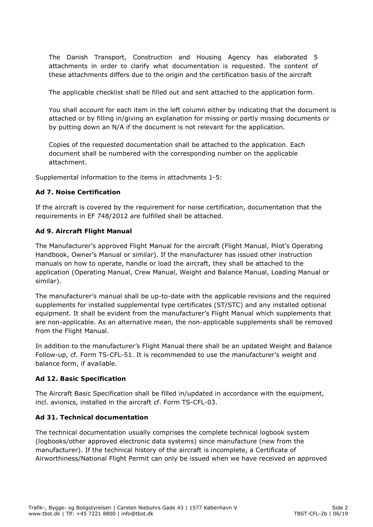The Danish Transport, Construction and Housing Agency has elaborated 5 attachments in order to clarify what documentation is requested. The content of these attachments differs due to the origin and the certification basis of the aircraft

The applicable checklist shall be filled out and sent attached to the application form.

You shall account for each item in the left column either by indicating that the document is attached or by filling in/giving an explanation for missing or partly missing documents or by putting down an N/A if the document is not relevant for the application.

Copies of the requested documentation shall be attached to the application. Each document shall be numbered with the corresponding number on the applicable attachment.

Supplemental information to the items in attachments 1-5:

## **Ad 7. Noise Certification**

If the aircraft is covered by the requirement for noise certification, documentation that the requirements in EF 748/2012 are fulfilled shall be attached.

## **Ad 9. Aircraft Flight Manual**

The Manufacturer's approved Flight Manual for the aircraft (Flight Manual, Pilot's Operating Handbook, Owner's Manual or similar). If the manufacturer has issued other instruction manuals on how to operate, handle or load the aircraft, they shall be attached to the application (Operating Manual, Crew Manual, Weight and Balance Manual, Loading Manual or similar).

The manufacturer's manual shall be up-to-date with the applicable revisions and the required supplements for installed supplemental type certificates (ST/STC) and any installed optional equipment. It shall be evident from the manufacturer's Flight Manual which supplements that are non-applicable. As an alternative mean, the non-applicable supplements shall be removed from the Flight Manual.

In addition to the manufacturer's Flight Manual there shall be an updated Weight and Balance Follow-up, cf. Form TS-CFL-51. It is recommended to use the manufacturer's weight and balance form, if available.

#### **Ad 12. Basic Specification**

The Aircraft Basic Specification shall be filled in/updated in accordance with the equipment, incl. avionics, installed in the aircraft cf. Form TS-CFL-03.

#### **Ad 31. Technical documentation**

The technical documentation usually comprises the complete technical logbook system (logbooks/other approved electronic data systems) since manufacture (new from the manufacturer). If the technical history of the aircraft is incomplete, a Certificate of Airworthiness/National Flight Permit can only be issued when we have received an approved